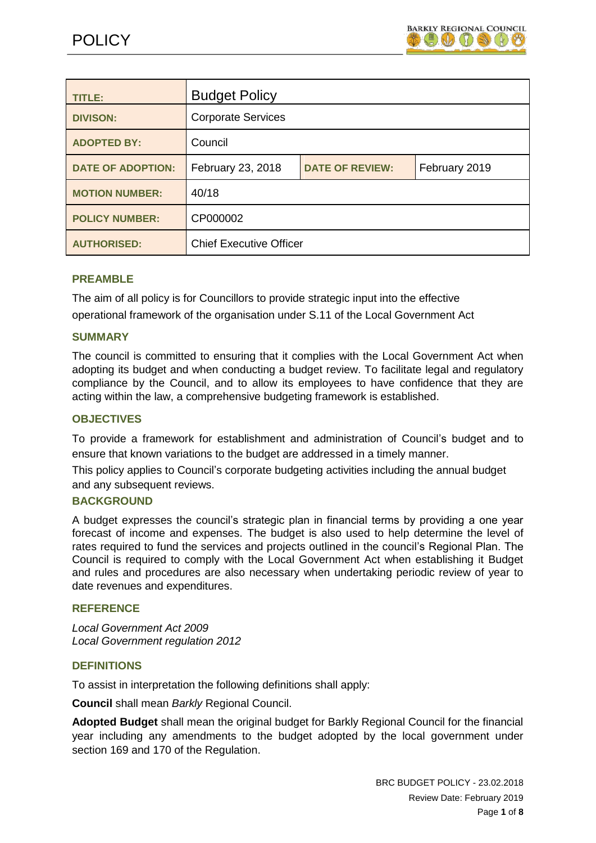

| <b>TITLE:</b>            | <b>Budget Policy</b>           |                        |               |
|--------------------------|--------------------------------|------------------------|---------------|
| <b>DIVISON:</b>          | <b>Corporate Services</b>      |                        |               |
| <b>ADOPTED BY:</b>       | Council                        |                        |               |
| <b>DATE OF ADOPTION:</b> | February 23, 2018              | <b>DATE OF REVIEW:</b> | February 2019 |
| <b>MOTION NUMBER:</b>    | 40/18                          |                        |               |
| <b>POLICY NUMBER:</b>    | CP000002                       |                        |               |
| <b>AUTHORISED:</b>       | <b>Chief Executive Officer</b> |                        |               |

## **PREAMBLE**

The aim of all policy is for Councillors to provide strategic input into the effective operational framework of the organisation under S.11 of the Local Government Act

### **SUMMARY**

The council is committed to ensuring that it complies with the Local Government Act when adopting its budget and when conducting a budget review. To facilitate legal and regulatory compliance by the Council, and to allow its employees to have confidence that they are acting within the law, a comprehensive budgeting framework is established.

## **OBJECTIVES**

To provide a framework for establishment and administration of Council's budget and to ensure that known variations to the budget are addressed in a timely manner.

This policy applies to Council's corporate budgeting activities including the annual budget and any subsequent reviews.

### **BACKGROUND**

A budget expresses the council's strategic plan in financial terms by providing a one year forecast of income and expenses. The budget is also used to help determine the level of rates required to fund the services and projects outlined in the council's Regional Plan. The Council is required to comply with the Local Government Act when establishing it Budget and rules and procedures are also necessary when undertaking periodic review of year to date revenues and expenditures.

## **REFERENCE**

*Local Government Act 2009 Local Government regulation 2012*

## **DEFINITIONS**

To assist in interpretation the following definitions shall apply:

**Council** shall mean *Barkly* Regional Council.

**Adopted Budget** shall mean the original budget for Barkly Regional Council for the financial year including any amendments to the budget adopted by the local government under section 169 and 170 of the Regulation.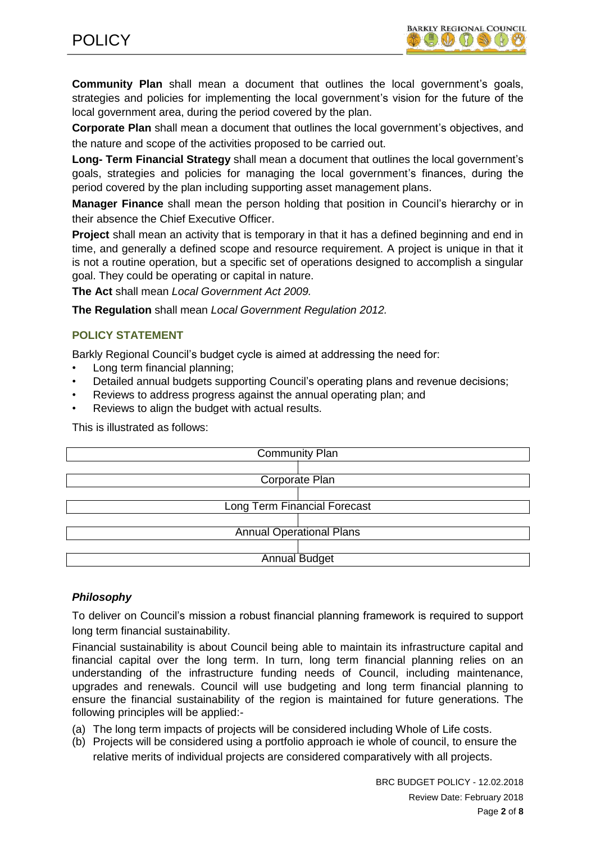**Community Plan** shall mean a document that outlines the local government's goals, strategies and policies for implementing the local government's vision for the future of the local government area, during the period covered by the plan.

**Corporate Plan** shall mean a document that outlines the local government's objectives, and the nature and scope of the activities proposed to be carried out.

**Long- Term Financial Strategy** shall mean a document that outlines the local government's goals, strategies and policies for managing the local government's finances, during the period covered by the plan including supporting asset management plans.

**Manager Finance** shall mean the person holding that position in Council's hierarchy or in their absence the Chief Executive Officer.

**Project** shall mean an activity that is temporary in that it has a defined beginning and end in time, and generally a defined scope and resource requirement. A project is unique in that it is not a routine operation, but a specific set of operations designed to accomplish a singular goal. They could be operating or capital in nature.

**The Act** shall mean *Local Government Act 2009.*

**The Regulation** shall mean *Local Government Regulation 2012.*

# **POLICY STATEMENT**

Barkly Regional Council's budget cycle is aimed at addressing the need for:

- Long term financial planning:
- Detailed annual budgets supporting Council's operating plans and revenue decisions;
- Reviews to address progress against the annual operating plan; and
- Reviews to align the budget with actual results.

This is illustrated as follows:

| <b>Community Plan</b>               |  |  |
|-------------------------------------|--|--|
|                                     |  |  |
| Corporate Plan                      |  |  |
|                                     |  |  |
| <b>Long Term Financial Forecast</b> |  |  |
|                                     |  |  |
| <b>Annual Operational Plans</b>     |  |  |
|                                     |  |  |
| <b>Annual Budget</b>                |  |  |

# *Philosophy*

To deliver on Council's mission a robust financial planning framework is required to support long term financial sustainability.

Financial sustainability is about Council being able to maintain its infrastructure capital and financial capital over the long term. In turn, long term financial planning relies on an understanding of the infrastructure funding needs of Council, including maintenance, upgrades and renewals. Council will use budgeting and long term financial planning to ensure the financial sustainability of the region is maintained for future generations. The following principles will be applied:-

- (a) The long term impacts of projects will be considered including Whole of Life costs.
- (b) Projects will be considered using a portfolio approach ie whole of council, to ensure the relative merits of individual projects are considered comparatively with all projects.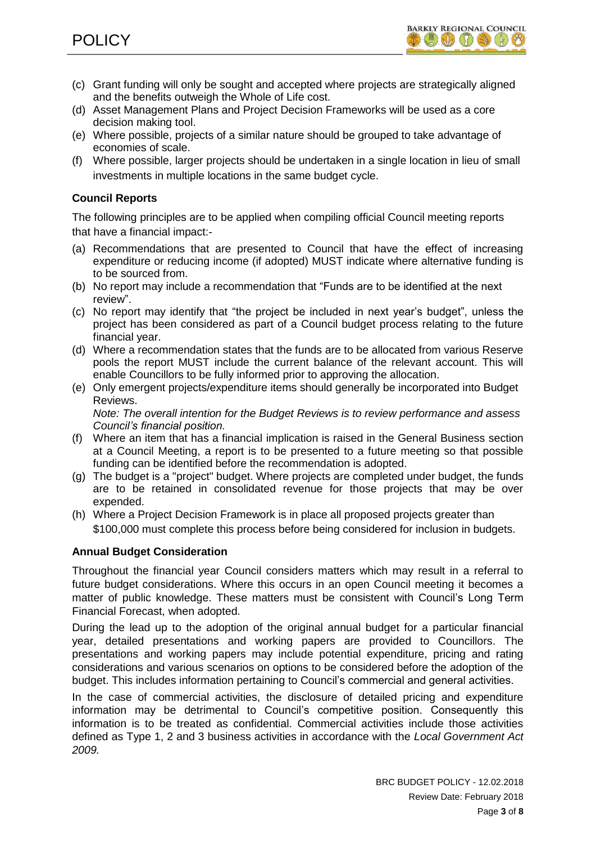- (c) Grant funding will only be sought and accepted where projects are strategically aligned and the benefits outweigh the Whole of Life cost.
- (d) Asset Management Plans and Project Decision Frameworks will be used as a core decision making tool.
- (e) Where possible, projects of a similar nature should be grouped to take advantage of economies of scale.
- (f) Where possible, larger projects should be undertaken in a single location in lieu of small investments in multiple locations in the same budget cycle.

# **Council Reports**

The following principles are to be applied when compiling official Council meeting reports that have a financial impact:-

- (a) Recommendations that are presented to Council that have the effect of increasing expenditure or reducing income (if adopted) MUST indicate where alternative funding is to be sourced from.
- (b) No report may include a recommendation that "Funds are to be identified at the next review".
- (c) No report may identify that "the project be included in next year's budget", unless the project has been considered as part of a Council budget process relating to the future financial year.
- (d) Where a recommendation states that the funds are to be allocated from various Reserve pools the report MUST include the current balance of the relevant account. This will enable Councillors to be fully informed prior to approving the allocation.
- (e) Only emergent projects/expenditure items should generally be incorporated into Budget Reviews.

*Note: The overall intention for the Budget Reviews is to review performance and assess Council's financial position.*

- (f) Where an item that has a financial implication is raised in the General Business section at a Council Meeting, a report is to be presented to a future meeting so that possible funding can be identified before the recommendation is adopted.
- (g) The budget is a "project" budget. Where projects are completed under budget, the funds are to be retained in consolidated revenue for those projects that may be over expended.
- (h) Where a Project Decision Framework is in place all proposed projects greater than \$100,000 must complete this process before being considered for inclusion in budgets.

# **Annual Budget Consideration**

Throughout the financial year Council considers matters which may result in a referral to future budget considerations. Where this occurs in an open Council meeting it becomes a matter of public knowledge. These matters must be consistent with Council's Long Term Financial Forecast, when adopted.

During the lead up to the adoption of the original annual budget for a particular financial year, detailed presentations and working papers are provided to Councillors. The presentations and working papers may include potential expenditure, pricing and rating considerations and various scenarios on options to be considered before the adoption of the budget. This includes information pertaining to Council's commercial and general activities.

In the case of commercial activities, the disclosure of detailed pricing and expenditure information may be detrimental to Council's competitive position. Consequently this information is to be treated as confidential. Commercial activities include those activities defined as Type 1, 2 and 3 business activities in accordance with the *Local Government Act 2009.*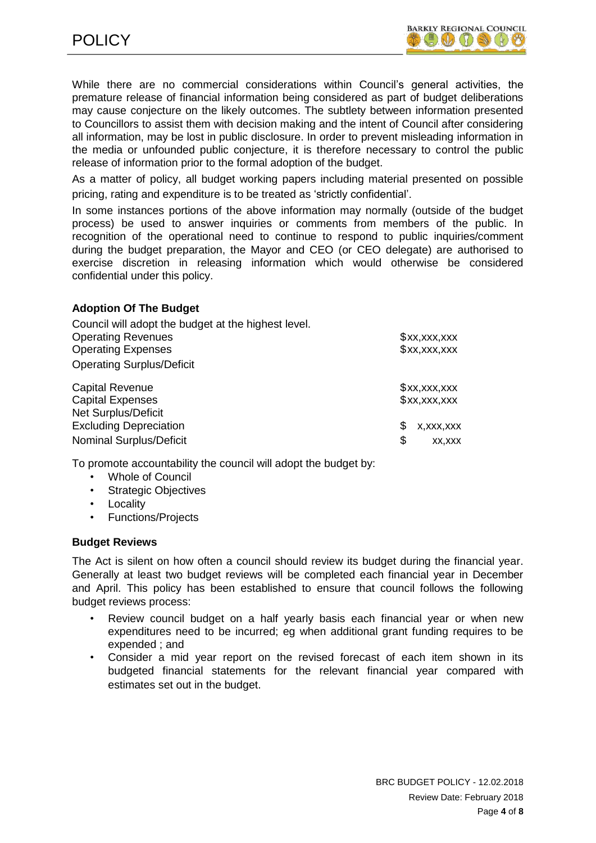While there are no commercial considerations within Council's general activities, the premature release of financial information being considered as part of budget deliberations may cause conjecture on the likely outcomes. The subtlety between information presented to Councillors to assist them with decision making and the intent of Council after considering all information, may be lost in public disclosure. In order to prevent misleading information in the media or unfounded public conjecture, it is therefore necessary to control the public release of information prior to the formal adoption of the budget.

As a matter of policy, all budget working papers including material presented on possible pricing, rating and expenditure is to be treated as 'strictly confidential'.

In some instances portions of the above information may normally (outside of the budget process) be used to answer inquiries or comments from members of the public. In recognition of the operational need to continue to respond to public inquiries/comment during the budget preparation, the Mayor and CEO (or CEO delegate) are authorised to exercise discretion in releasing information which would otherwise be considered confidential under this policy.

## **Adoption Of The Budget**

| Council will adopt the budget at the highest level. |                  |
|-----------------------------------------------------|------------------|
| <b>Operating Revenues</b>                           | x, x, x, x       |
| <b>Operating Expenses</b>                           | x, x, x, x       |
| <b>Operating Surplus/Deficit</b>                    |                  |
| <b>Capital Revenue</b>                              | x, x, x, x       |
| <b>Capital Expenses</b>                             | x, x, x, x       |
| <b>Net Surplus/Deficit</b>                          |                  |
| <b>Excluding Depreciation</b>                       | S<br>X, XXX, XXX |
| <b>Nominal Surplus/Deficit</b>                      | \$<br>XX, XXX    |

To promote accountability the council will adopt the budget by:

- Whole of Council
- Strategic Objectives
- Locality
- Functions/Projects

#### **Budget Reviews**

The Act is silent on how often a council should review its budget during the financial year. Generally at least two budget reviews will be completed each financial year in December and April. This policy has been established to ensure that council follows the following budget reviews process:

- Review council budget on a half yearly basis each financial year or when new expenditures need to be incurred; eg when additional grant funding requires to be expended ; and
- Consider a mid year report on the revised forecast of each item shown in its budgeted financial statements for the relevant financial year compared with estimates set out in the budget.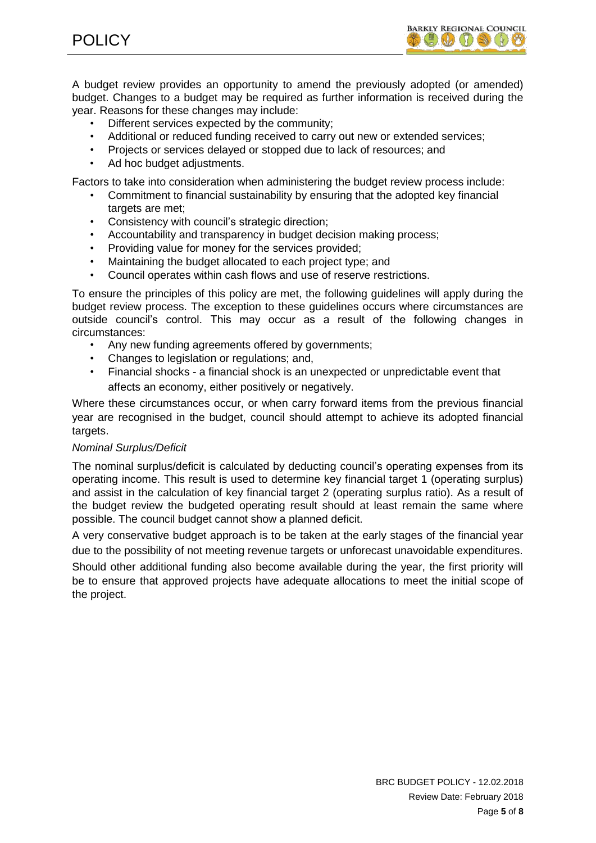POLICY



A budget review provides an opportunity to amend the previously adopted (or amended) budget. Changes to a budget may be required as further information is received during the year. Reasons for these changes may include:

- Different services expected by the community:
- Additional or reduced funding received to carry out new or extended services;
- Projects or services delayed or stopped due to lack of resources; and
- Ad hoc budget adjustments.

Factors to take into consideration when administering the budget review process include:

- Commitment to financial sustainability by ensuring that the adopted key financial targets are met:
- Consistency with council's strategic direction;
- Accountability and transparency in budget decision making process;
- Providing value for money for the services provided;
- Maintaining the budget allocated to each project type; and
- Council operates within cash flows and use of reserve restrictions.

To ensure the principles of this policy are met, the following guidelines will apply during the budget review process. The exception to these guidelines occurs where circumstances are outside council's control. This may occur as a result of the following changes in circumstances:

- Any new funding agreements offered by governments;
- Changes to legislation or regulations; and,
- Financial shocks a financial shock is an unexpected or unpredictable event that affects an economy, either positively or negatively.

Where these circumstances occur, or when carry forward items from the previous financial year are recognised in the budget, council should attempt to achieve its adopted financial targets.

#### *Nominal Surplus/Deficit*

The nominal surplus/deficit is calculated by deducting council's operating expenses from its operating income. This result is used to determine key financial target 1 (operating surplus) and assist in the calculation of key financial target 2 (operating surplus ratio). As a result of the budget review the budgeted operating result should at least remain the same where possible. The council budget cannot show a planned deficit.

A very conservative budget approach is to be taken at the early stages of the financial year due to the possibility of not meeting revenue targets or unforecast unavoidable expenditures.

Should other additional funding also become available during the year, the first priority will be to ensure that approved projects have adequate allocations to meet the initial scope of the project.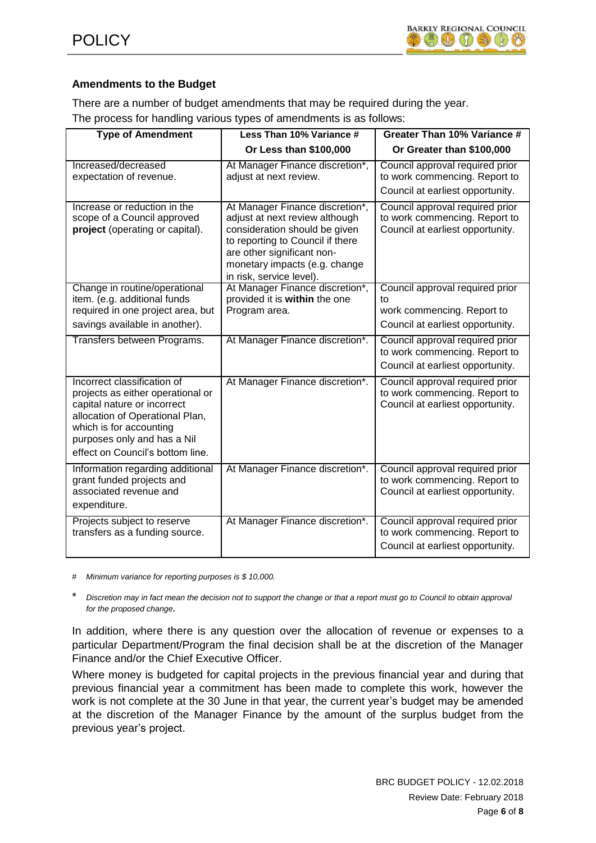

# **Amendments to the Budget**

There are a number of budget amendments that may be required during the year. The process for handling various types of amendments is as follows:

| <b>Type of Amendment</b>                                                                                                                                                                                                         | Less Than 10% Variance #                                                                                                                                                                                                          | Greater Than 10% Variance #                                                                             |  |
|----------------------------------------------------------------------------------------------------------------------------------------------------------------------------------------------------------------------------------|-----------------------------------------------------------------------------------------------------------------------------------------------------------------------------------------------------------------------------------|---------------------------------------------------------------------------------------------------------|--|
|                                                                                                                                                                                                                                  | Or Less than \$100,000                                                                                                                                                                                                            | Or Greater than \$100,000                                                                               |  |
| Increased/decreased<br>expectation of revenue.                                                                                                                                                                                   | At Manager Finance discretion*,<br>adjust at next review.                                                                                                                                                                         | Council approval required prior<br>to work commencing. Report to<br>Council at earliest opportunity.    |  |
| Increase or reduction in the<br>scope of a Council approved<br>project (operating or capital).                                                                                                                                   | At Manager Finance discretion*,<br>adjust at next review although<br>consideration should be given<br>to reporting to Council if there<br>are other significant non-<br>monetary impacts (e.g. change<br>in risk, service level). | Council approval required prior<br>to work commencing. Report to<br>Council at earliest opportunity.    |  |
| Change in routine/operational<br>item. (e.g. additional funds<br>required in one project area, but<br>savings available in another).                                                                                             | At Manager Finance discretion*,<br>provided it is within the one<br>Program area.                                                                                                                                                 | Council approval required prior<br>to<br>work commencing. Report to<br>Council at earliest opportunity. |  |
| Transfers between Programs.                                                                                                                                                                                                      | At Manager Finance discretion*.                                                                                                                                                                                                   | Council approval required prior<br>to work commencing. Report to<br>Council at earliest opportunity.    |  |
| Incorrect classification of<br>projects as either operational or<br>capital nature or incorrect<br>allocation of Operational Plan,<br>which is for accounting<br>purposes only and has a Nil<br>effect on Council's bottom line. | At Manager Finance discretion*.                                                                                                                                                                                                   | Council approval required prior<br>to work commencing. Report to<br>Council at earliest opportunity.    |  |
| Information regarding additional<br>grant funded projects and<br>associated revenue and<br>expenditure.                                                                                                                          | At Manager Finance discretion*.                                                                                                                                                                                                   | Council approval required prior<br>to work commencing. Report to<br>Council at earliest opportunity.    |  |
| Projects subject to reserve<br>transfers as a funding source.                                                                                                                                                                    | At Manager Finance discretion*.                                                                                                                                                                                                   | Council approval required prior<br>to work commencing. Report to<br>Council at earliest opportunity.    |  |

# *Minimum variance for reporting purposes is \$ 10,000.*

\* *Discretion may in fact mean the decision not to support the change or that a report must go to Council to obtain approval for the proposed change.*

In addition, where there is any question over the allocation of revenue or expenses to a particular Department/Program the final decision shall be at the discretion of the Manager Finance and/or the Chief Executive Officer.

Where money is budgeted for capital projects in the previous financial year and during that previous financial year a commitment has been made to complete this work, however the work is not complete at the 30 June in that year, the current year's budget may be amended at the discretion of the Manager Finance by the amount of the surplus budget from the previous year's project.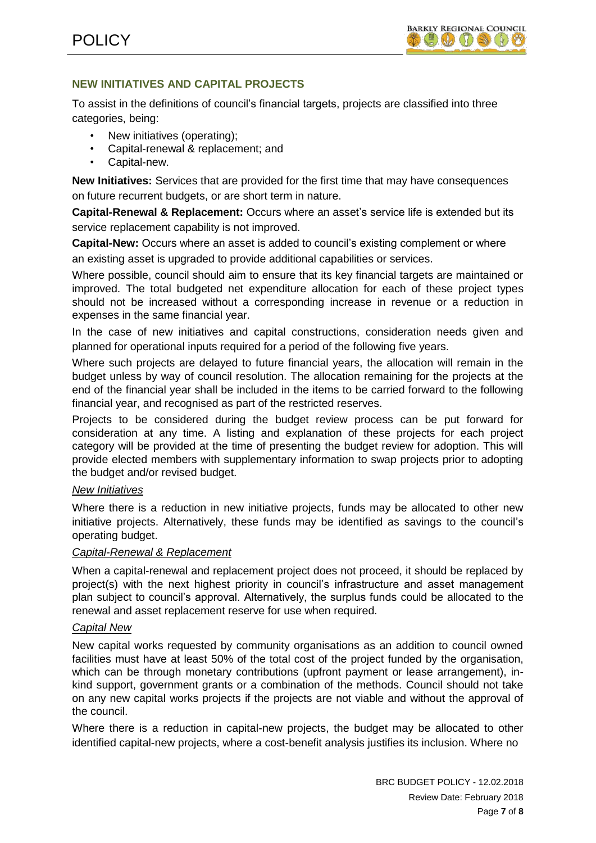# **NEW INITIATIVES AND CAPITAL PROJECTS**

To assist in the definitions of council's financial targets, projects are classified into three categories, being:

- New initiatives (operating);
- Capital-renewal & replacement; and
- Capital-new.

**New Initiatives:** Services that are provided for the first time that may have consequences on future recurrent budgets, or are short term in nature.

**Capital-Renewal & Replacement:** Occurs where an asset's service life is extended but its service replacement capability is not improved.

**Capital-New:** Occurs where an asset is added to council's existing complement or where an existing asset is upgraded to provide additional capabilities or services.

Where possible, council should aim to ensure that its key financial targets are maintained or improved. The total budgeted net expenditure allocation for each of these project types should not be increased without a corresponding increase in revenue or a reduction in expenses in the same financial year.

In the case of new initiatives and capital constructions, consideration needs given and planned for operational inputs required for a period of the following five years.

Where such projects are delayed to future financial years, the allocation will remain in the budget unless by way of council resolution. The allocation remaining for the projects at the end of the financial year shall be included in the items to be carried forward to the following financial year, and recognised as part of the restricted reserves.

Projects to be considered during the budget review process can be put forward for consideration at any time. A listing and explanation of these projects for each project category will be provided at the time of presenting the budget review for adoption. This will provide elected members with supplementary information to swap projects prior to adopting the budget and/or revised budget.

## *New Initiatives*

Where there is a reduction in new initiative projects, funds may be allocated to other new initiative projects. Alternatively, these funds may be identified as savings to the council's operating budget.

## *Capital-Renewal & Replacement*

When a capital-renewal and replacement project does not proceed, it should be replaced by project(s) with the next highest priority in council's infrastructure and asset management plan subject to council's approval. Alternatively, the surplus funds could be allocated to the renewal and asset replacement reserve for use when required.

## *Capital New*

New capital works requested by community organisations as an addition to council owned facilities must have at least 50% of the total cost of the project funded by the organisation, which can be through monetary contributions (upfront payment or lease arrangement), inkind support, government grants or a combination of the methods. Council should not take on any new capital works projects if the projects are not viable and without the approval of the council.

Where there is a reduction in capital-new projects, the budget may be allocated to other identified capital-new projects, where a cost-benefit analysis justifies its inclusion. Where no